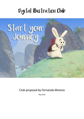## Digital Illustration Club



Club proposal by Fernanda Moreno

May 2022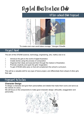# Digital Illustration Club

## After-school Club Proposal



"To create one's own world takes courage." *Georgia O'Keeffe*

## Project Goal

The aim of this STEAM (science, technology, engineering, arts, maths) club is to:

- $\Diamond$  Introduce the girls to the world of digital illustration.
- ◊ Create stories using the process of composition.
- $\Diamond$  Organise their ideas and execute them through the medium of illustration.
- ◊ Promote creativity and spark the girls' imagination.
- ◊ To gain STEAM skills early on that will complement the school's curriculum.

This will be a valuable skill for any type of future project, and differentiate them ahead of other girls their age.

## Proposed Activities

#### **Character Design**

To design a character and give them personalities and details that make them iconic and serve as the vehicle of a story.

We will focus on the components to make good character design: silhouette, exaggeration and personality.

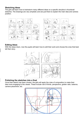#### **Sketching Ideas**

The girls will learn how to brainstorm many different ideas on a specific storyline in thumbnail sketches. The drawings are very simplistic and are just there to explain the main idea and camera position.



#### **Editing Ideas**

With the ideas down, now the pupils will learn how to edit their work and choose the ones that best tell their story.



#### **Polishing the sketches into a final**

Once their sketch has been chosen, the girls will apply the rules of composition to make their idea more engaging to the viewer. These include rule of thirds, perspective, golden ratio, balance, camera placement, etc.

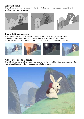#### **Work with Value**

The girls will condense the image into 4 or 5 neutral values and learn about readability and creating big simple statements.



#### **Create lighting scenarios**

Taking advantage of the digital medium, the girls will learn to use adjustment layers, hue/ saturation, masks, etc. to easily change the lighting of a scene to fit the desired mood. We will learn about colour theory to make a palette to match the story and character.



#### **Add Texture and final details**

The girls will learn to create different brushes and use them to add the final texture details in their illustration without losing the value system created previously.